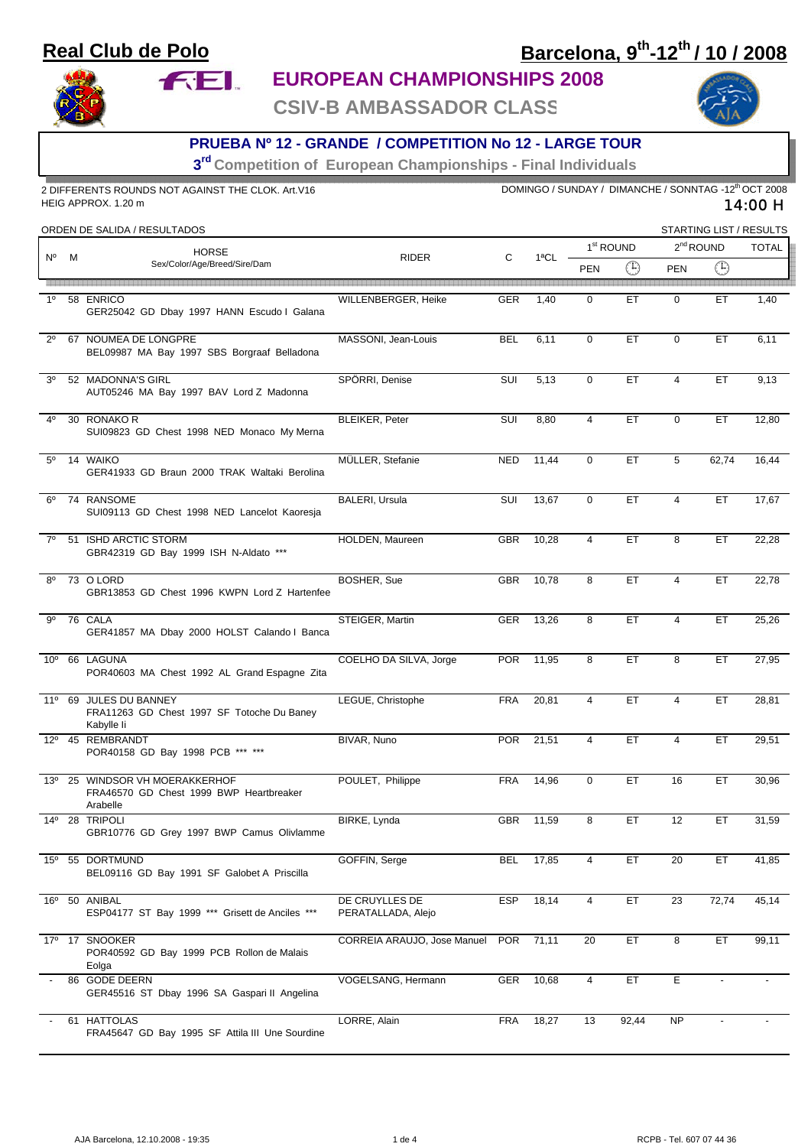### **Real Club de Polo**

**FEL** 

# **Barcelona, 9th-12th / 10 / 2008**



#### **EUROPEAN CHAMPIONSHIPS 2008**

**CSIV-B AMBASSADOR CLASS**



#### **PRUEBA Nº 12 - GRANDE / COMPETITION No 12 - LARGE TOUR**

**3rd Competition of European Championships - Final Individuals** 

| 2 DIFFERENTS ROUNDS NOT AGAINST THE CLOK. Art.V16<br>HEIG APPROX. 1.20 m |   |                                                                                    |                                      | DOMINGO / SUNDAY / DIMANCHE / SONNTAG -12 <sup>th</sup> OCT 2008<br>14:00 H |           |                       |       |                 |                         |              |
|--------------------------------------------------------------------------|---|------------------------------------------------------------------------------------|--------------------------------------|-----------------------------------------------------------------------------|-----------|-----------------------|-------|-----------------|-------------------------|--------------|
|                                                                          |   | ORDEN DE SALIDA / RESULTADOS                                                       |                                      |                                                                             |           |                       |       |                 | STARTING LIST / RESULTS |              |
| N°                                                                       |   | <b>HORSE</b><br>Sex/Color/Age/Breed/Sire/Dam                                       | <b>RIDER</b>                         | С                                                                           | 1ªCL      | 1 <sup>st</sup> ROUND |       | $2nd$ ROUND     |                         | <b>TOTAL</b> |
|                                                                          | M |                                                                                    |                                      |                                                                             |           | <b>PEN</b>            | ⊕     | <b>PEN</b>      | $\bigoplus$             |              |
|                                                                          |   |                                                                                    |                                      |                                                                             |           |                       |       |                 |                         |              |
| 1 <sup>0</sup>                                                           |   | 58 ENRICO<br>GER25042 GD Dbay 1997 HANN Escudo I Galana                            | WILLENBERGER, Heike                  | <b>GER</b>                                                                  | 1,40      | 0                     | ET    | 0               | ET                      | 1,40         |
| $2^{\circ}$                                                              |   | 67 NOUMEA DE LONGPRE<br>BEL09987 MA Bay 1997 SBS Borgraaf Belladona                | MASSONI, Jean-Louis                  | <b>BEL</b>                                                                  | 6,11      | $\mathbf 0$           | ET    | $\mathbf 0$     | ET                      | 6,11         |
| 3 <sup>0</sup>                                                           |   | 52 MADONNA'S GIRL<br>AUT05246 MA Bay 1997 BAV Lord Z Madonna                       | SPÖRRI, Denise                       | SUI                                                                         | 5,13      | $\mathbf 0$           | ET    | $\overline{4}$  | ET                      | 9,13         |
| 40                                                                       |   | 30 RONAKO R<br>SUI09823 GD Chest 1998 NED Monaco My Merna                          | <b>BLEIKER, Peter</b>                | SUI                                                                         | 8,80      | 4                     | ET    | $\mathbf 0$     | ET                      | 12,80        |
| $5^{\circ}$                                                              |   | 14 WAIKO<br>GER41933 GD Braun 2000 TRAK Waltaki Berolina                           | MÜLLER, Stefanie                     | <b>NED</b>                                                                  | 11,44     | $\mathbf 0$           | ЕT    | 5               | 62,74                   | 16,44        |
| 6°                                                                       |   | 74 RANSOME<br>SUI09113 GD Chest 1998 NED Lancelot Kaoresja                         | <b>BALERI, Ursula</b>                | SUI                                                                         | 13,67     | $\mathbf 0$           | ET    | $\overline{4}$  | ET.                     | 17,67        |
| $7^\circ$                                                                |   | 51 ISHD ARCTIC STORM<br>GBR42319 GD Bay 1999 ISH N-Aldato ***                      | HOLDEN, Maureen                      | <b>GBR</b>                                                                  | 10,28     | 4                     | ЕT    | 8               | ET                      | 22,28        |
| $8^{\circ}$                                                              |   | 73 O LORD<br>GBR13853 GD Chest 1996 KWPN Lord Z Hartenfee                          | BOSHER, Sue                          | <b>GBR</b>                                                                  | 10,78     | 8                     | ET    | $\overline{4}$  | ET.                     | 22,78        |
| 9 <sup>0</sup>                                                           |   | 76 CALA<br>GER41857 MA Dbay 2000 HOLST Calando I Banca                             | STEIGER, Martin                      | <b>GER</b>                                                                  | 13,26     | 8                     | ET    | 4               | ET                      | 25,26        |
| $10^{\circ}$                                                             |   | 66 LAGUNA<br>POR40603 MA Chest 1992 AL Grand Espagne Zita                          | COELHO DA SILVA, Jorge               | <b>POR</b>                                                                  | 11,95     | 8                     | ET    | 8               | ET.                     | 27,95        |
|                                                                          |   | 11º 69 JULES DU BANNEY<br>FRA11263 GD Chest 1997 SF Totoche Du Baney<br>Kabylle li | LEGUE, Christophe                    | <b>FRA</b>                                                                  | 20,81     | 4                     | ET    | 4               | ET                      | 28,81        |
| $12^{\circ}$                                                             |   | 45 REMBRANDT<br>POR40158 GD Bay 1998 PCB *** ***                                   | BIVAR, Nuno                          | <b>POR</b>                                                                  | 21,51     | 4                     | ЕT    | 4               | ET                      | 29,51        |
| $13^{\circ}$                                                             |   | 25 WINDSOR VH MOERAKKERHOF<br>FRA46570 GD Chest 1999 BWP Heartbreaker<br>Arabelle  | POULET, Philippe                     | <b>FRA</b>                                                                  | 14,96     | $\mathbf 0$           | ЕT    | 16              | ET                      | 30,96        |
|                                                                          |   | 14º 28 TRIPOLI<br>GBR10776 GD Grey 1997 BWP Camus Olivlamme                        | BIRKE, Lynda                         |                                                                             | GBR 11,59 | 8                     | ET    | 12              | ET                      | 31,59        |
| $15^{\circ}$                                                             |   | 55 DORTMUND<br>BEL09116 GD Bay 1991 SF Galobet A Priscilla                         | GOFFIN, Serge                        | <b>BEL</b>                                                                  | 17,85     | 4                     | ЕT    | 20              | ET.                     | 41,85        |
|                                                                          |   | 16° 50 ANIBAL<br>ESP04177 ST Bay 1999 *** Grisett de Anciles ***                   | DE CRUYLLES DE<br>PERATALLADA, Alejo | <b>ESP</b>                                                                  | 18,14     | $\overline{4}$        | ET    | $\overline{23}$ | 72,74                   | 45,14        |
| $17^{\circ}$                                                             |   | 17 SNOOKER<br>POR40592 GD Bay 1999 PCB Rollon de Malais<br>Eolga                   | CORREIA ARAUJO, Jose Manuel          | <b>POR</b>                                                                  | 71,11     | 20                    | EТ    | 8               | ET                      | 99,11        |
|                                                                          |   | 86 GODE DEERN<br>GER45516 ST Dbay 1996 SA Gaspari II Angelina                      | VOGELSANG, Hermann                   | GER                                                                         | 10,68     | $\overline{4}$        | ET    | E               | $\sim$                  |              |
|                                                                          |   | 61 HATTOLAS<br>FRA45647 GD Bay 1995 SF Attila III Une Sourdine                     | LORRE, Alain                         | <b>FRA</b>                                                                  | 18,27     | 13                    | 92,44 | NP              |                         |              |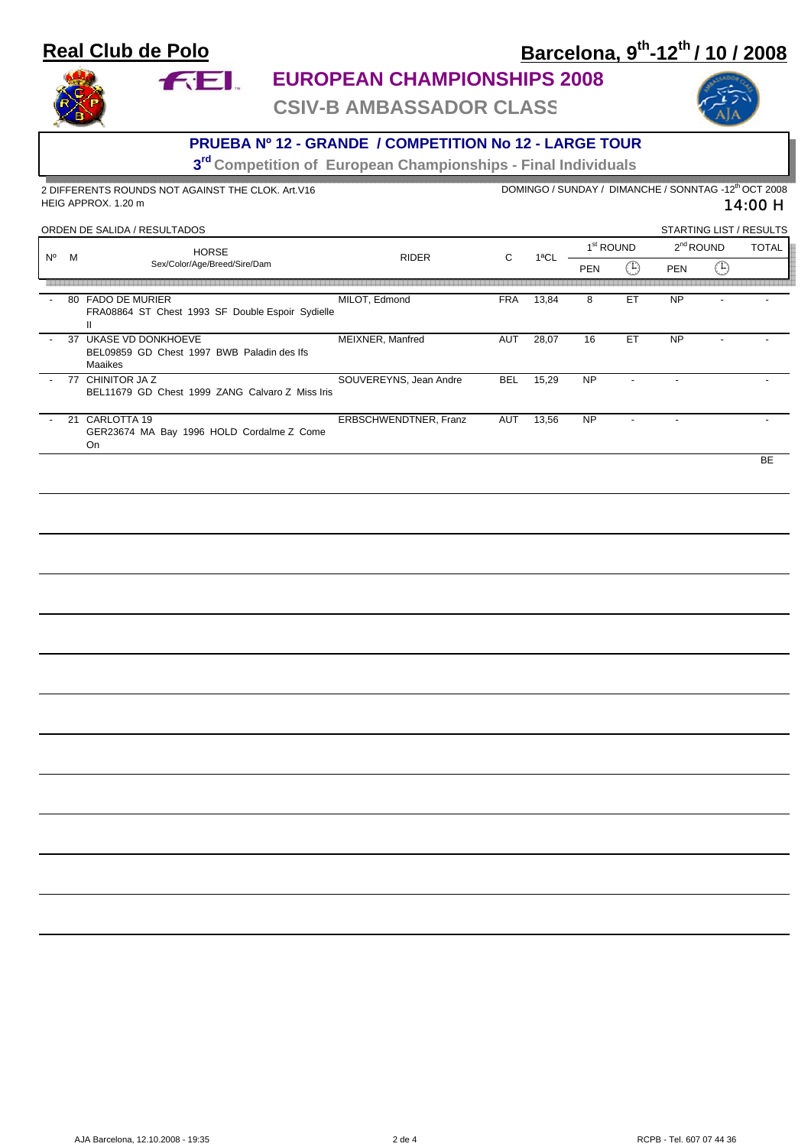### **Real Club de Polo**

**FEL** 

# **Barcelona, 9th-12th / 10 / 2008**



## **EUROPEAN CHAMPIONSHIPS 2008**

**CSIV-B AMBASSADOR CLASS**



#### **PRUEBA Nº 12 - GRANDE / COMPETITION No 12 - LARGE TOUR**

**3rd Competition of European Championships - Final Individuals** 

2 DIFFERENTS ROUNDS NOT AGAINST THE CLOK. Art.V16 DOMINGO / SUNDAY / DIMANCHE / SONNTAG -12<sup>th</sup> OCT 2008 14:00 H HEIG APPROX. 1.20 m ORDEN DE SALIDA / RESULTADOS .<br>TARTING LIST / RESULT

| URDEN DE SALIDA / RESULTADOS |    |                                                                             |                        |            | STARTING LIST / RESULTS |                       |     |             |    |              |
|------------------------------|----|-----------------------------------------------------------------------------|------------------------|------------|-------------------------|-----------------------|-----|-------------|----|--------------|
| N°                           | M  | <b>HORSE</b><br>Sex/Color/Age/Breed/Sire/Dam                                | <b>RIDER</b>           | C          | 1ªCL                    | 1 <sup>st</sup> ROUND |     | $2nd$ ROUND |    | <b>TOTAL</b> |
|                              |    |                                                                             |                        |            |                         | <b>PEN</b>            | ت∓: | <b>PEN</b>  | 43 |              |
|                              |    |                                                                             |                        |            |                         |                       |     |             |    |              |
|                              |    | 80 FADO DE MURIER<br>FRA08864 ST Chest 1993 SF Double Espoir Sydielle<br>Ш. | MILOT, Edmond          | <b>FRA</b> | 13,84                   | 8                     | ET  | <b>NP</b>   |    |              |
|                              | 37 | UKASE VD DONKHOEVE<br>BEL09859 GD Chest 1997 BWB Paladin des lfs<br>Maaikes | MEIXNER, Manfred       | AUT        | 28,07                   | 16                    | ET  | <b>NP</b>   |    |              |
| $\overline{\phantom{0}}$     |    | 77 CHINITOR JA Z<br>BEL11679 GD Chest 1999 ZANG Calvaro Z Miss Iris         | SOUVEREYNS, Jean Andre | <b>BEL</b> | 15,29                   | <b>NP</b>             |     |             |    |              |
|                              | 21 | CARLOTTA 19<br>GER23674 MA Bay 1996 HOLD Cordalme Z Come<br>On              | ERBSCHWENDTNER, Franz  | AUT        | 13,56                   | <b>NP</b>             |     |             |    |              |

de la construcción de la construcción de la construcción de la construcción de la construcción de la construcc